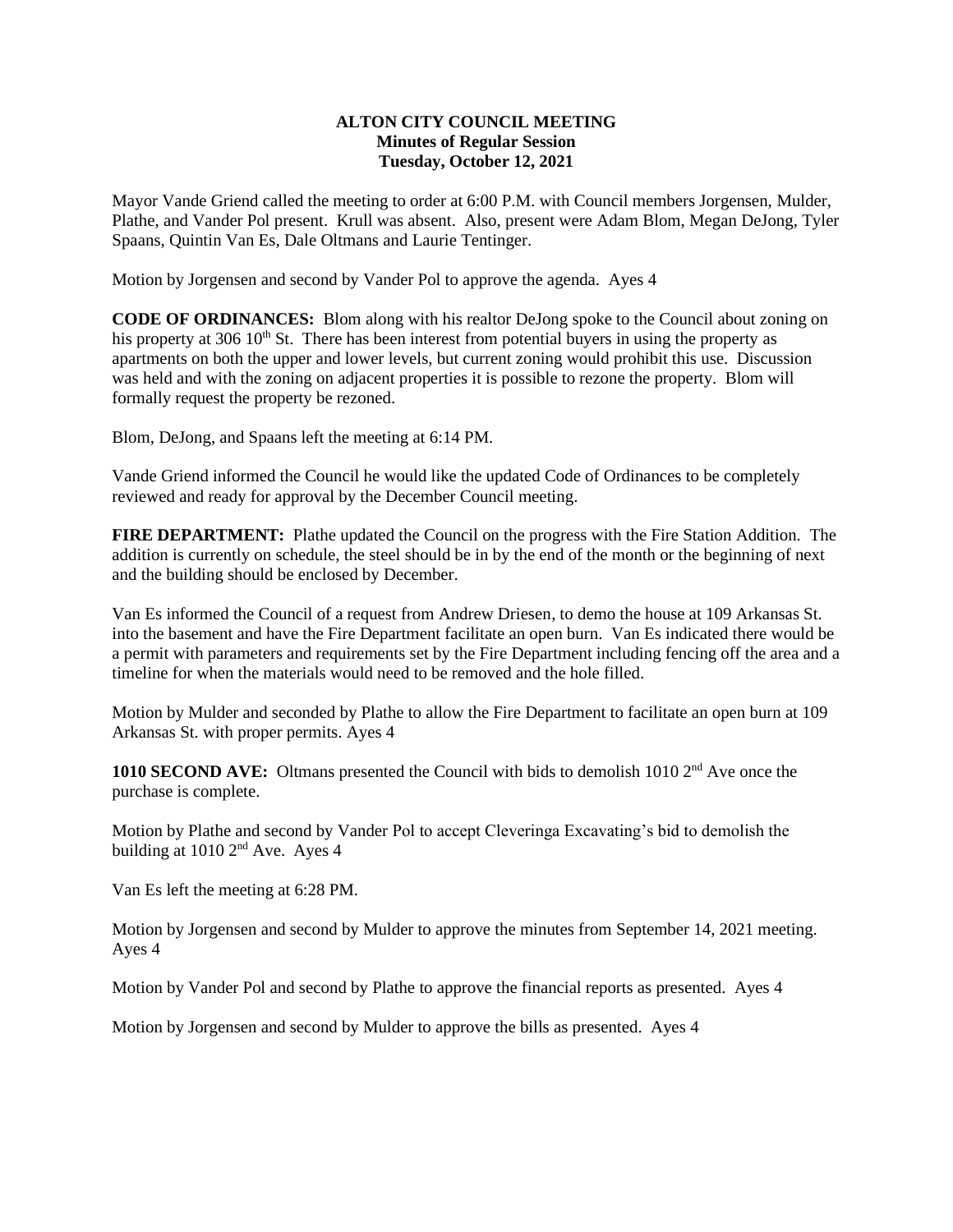## **ALTON CITY COUNCIL MEETING Minutes of Regular Session Tuesday, October 12, 2021**

Mayor Vande Griend called the meeting to order at 6:00 P.M. with Council members Jorgensen, Mulder, Plathe, and Vander Pol present. Krull was absent. Also, present were Adam Blom, Megan DeJong, Tyler Spaans, Quintin Van Es, Dale Oltmans and Laurie Tentinger.

Motion by Jorgensen and second by Vander Pol to approve the agenda. Ayes 4

**CODE OF ORDINANCES:** Blom along with his realtor DeJong spoke to the Council about zoning on his property at 306  $10^{th}$  St. There has been interest from potential buyers in using the property as apartments on both the upper and lower levels, but current zoning would prohibit this use. Discussion was held and with the zoning on adjacent properties it is possible to rezone the property. Blom will formally request the property be rezoned.

Blom, DeJong, and Spaans left the meeting at 6:14 PM.

Vande Griend informed the Council he would like the updated Code of Ordinances to be completely reviewed and ready for approval by the December Council meeting.

**FIRE DEPARTMENT:** Plathe updated the Council on the progress with the Fire Station Addition. The addition is currently on schedule, the steel should be in by the end of the month or the beginning of next and the building should be enclosed by December.

Van Es informed the Council of a request from Andrew Driesen, to demo the house at 109 Arkansas St. into the basement and have the Fire Department facilitate an open burn. Van Es indicated there would be a permit with parameters and requirements set by the Fire Department including fencing off the area and a timeline for when the materials would need to be removed and the hole filled.

Motion by Mulder and seconded by Plathe to allow the Fire Department to facilitate an open burn at 109 Arkansas St. with proper permits. Ayes 4

1010 SECOND AVE: Oltmans presented the Council with bids to demolish 1010 2<sup>nd</sup> Ave once the purchase is complete.

Motion by Plathe and second by Vander Pol to accept Cleveringa Excavating's bid to demolish the building at 1010 2nd Ave. Ayes 4

Van Es left the meeting at 6:28 PM.

Motion by Jorgensen and second by Mulder to approve the minutes from September 14, 2021 meeting. Ayes 4

Motion by Vander Pol and second by Plathe to approve the financial reports as presented. Ayes 4

Motion by Jorgensen and second by Mulder to approve the bills as presented. Ayes 4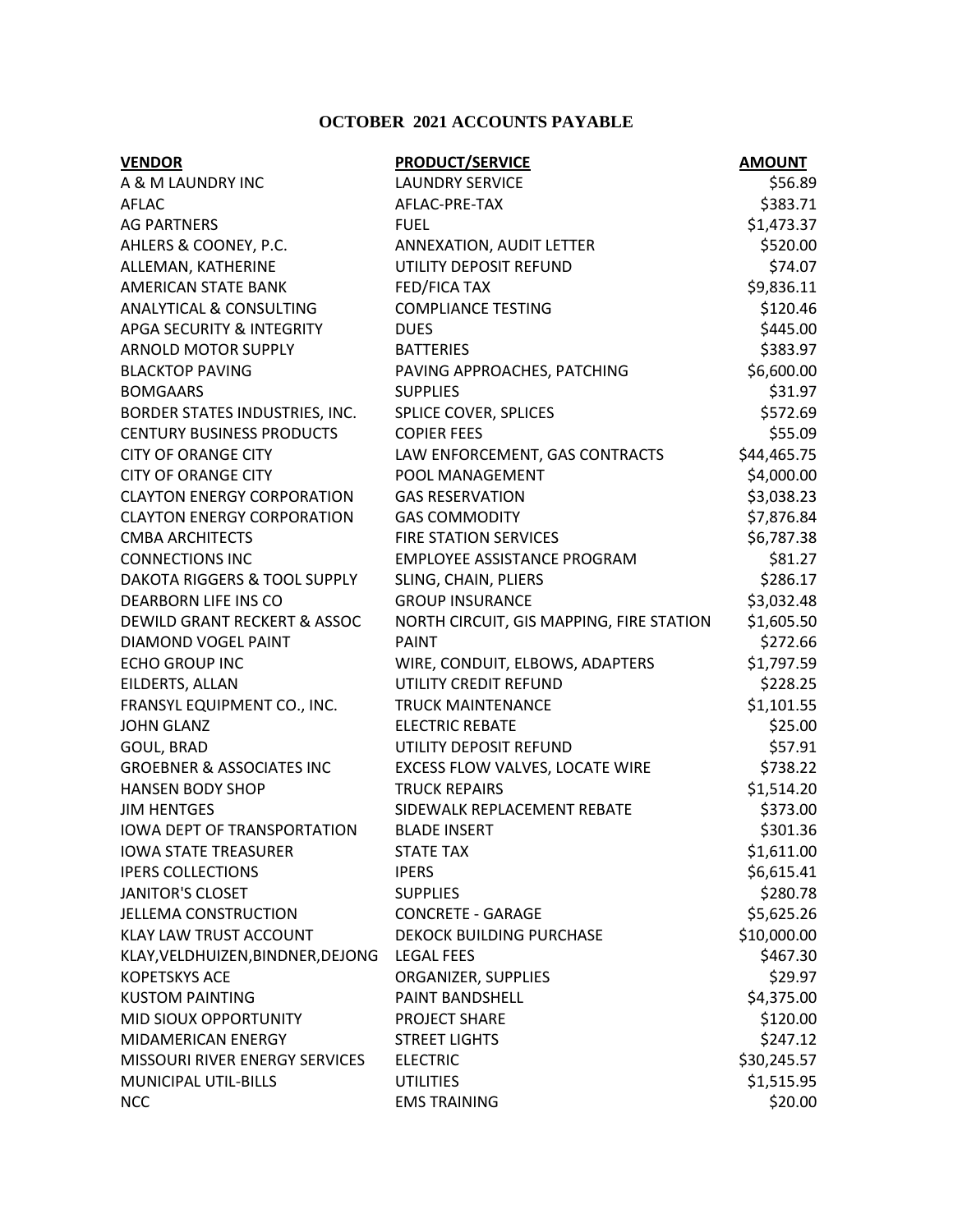## **OCTOBER 2021 ACCOUNTS PAYABLE**

| <b>VENDOR</b>                           | <b>PRODUCT/SERVICE</b>                   | <b>AMOUNT</b> |
|-----------------------------------------|------------------------------------------|---------------|
| A & M LAUNDRY INC                       | <b>LAUNDRY SERVICE</b>                   | \$56.89       |
| AFLAC                                   | AFLAC-PRE-TAX                            | \$383.71      |
| <b>AG PARTNERS</b>                      | <b>FUEL</b>                              | \$1,473.37    |
| AHLERS & COONEY, P.C.                   | ANNEXATION, AUDIT LETTER                 | \$520.00      |
| ALLEMAN, KATHERINE                      | UTILITY DEPOSIT REFUND                   | \$74.07       |
| <b>AMERICAN STATE BANK</b>              | FED/FICA TAX                             | \$9,836.11    |
| <b>ANALYTICAL &amp; CONSULTING</b>      | <b>COMPLIANCE TESTING</b>                | \$120.46      |
| <b>APGA SECURITY &amp; INTEGRITY</b>    | <b>DUES</b>                              | \$445.00      |
| <b>ARNOLD MOTOR SUPPLY</b>              | <b>BATTERIES</b>                         | \$383.97      |
| <b>BLACKTOP PAVING</b>                  | PAVING APPROACHES, PATCHING              | \$6,600.00    |
| <b>BOMGAARS</b>                         | <b>SUPPLIES</b>                          | \$31.97       |
| BORDER STATES INDUSTRIES, INC.          | SPLICE COVER, SPLICES                    | \$572.69      |
| <b>CENTURY BUSINESS PRODUCTS</b>        | <b>COPIER FEES</b>                       | \$55.09       |
| <b>CITY OF ORANGE CITY</b>              | LAW ENFORCEMENT, GAS CONTRACTS           | \$44,465.75   |
| <b>CITY OF ORANGE CITY</b>              | POOL MANAGEMENT                          | \$4,000.00    |
| <b>CLAYTON ENERGY CORPORATION</b>       | <b>GAS RESERVATION</b>                   | \$3,038.23    |
| <b>CLAYTON ENERGY CORPORATION</b>       | <b>GAS COMMODITY</b>                     | \$7,876.84    |
| <b>CMBA ARCHITECTS</b>                  | <b>FIRE STATION SERVICES</b>             | \$6,787.38    |
| <b>CONNECTIONS INC</b>                  | <b>EMPLOYEE ASSISTANCE PROGRAM</b>       | \$81.27       |
| <b>DAKOTA RIGGERS &amp; TOOL SUPPLY</b> | SLING, CHAIN, PLIERS                     | \$286.17      |
| DEARBORN LIFE INS CO                    | <b>GROUP INSURANCE</b>                   | \$3,032.48    |
| DEWILD GRANT RECKERT & ASSOC            | NORTH CIRCUIT, GIS MAPPING, FIRE STATION | \$1,605.50    |
| DIAMOND VOGEL PAINT                     | <b>PAINT</b>                             | \$272.66      |
| <b>ECHO GROUP INC</b>                   | WIRE, CONDUIT, ELBOWS, ADAPTERS          | \$1,797.59    |
| EILDERTS, ALLAN                         | UTILITY CREDIT REFUND                    | \$228.25      |
| FRANSYL EQUIPMENT CO., INC.             | <b>TRUCK MAINTENANCE</b>                 | \$1,101.55    |
| <b>JOHN GLANZ</b>                       | <b>ELECTRIC REBATE</b>                   | \$25.00       |
| GOUL, BRAD                              | UTILITY DEPOSIT REFUND                   | \$57.91       |
| <b>GROEBNER &amp; ASSOCIATES INC</b>    | EXCESS FLOW VALVES, LOCATE WIRE          | \$738.22      |
| <b>HANSEN BODY SHOP</b>                 | <b>TRUCK REPAIRS</b>                     | \$1,514.20    |
| <b>JIM HENTGES</b>                      | SIDEWALK REPLACEMENT REBATE              | \$373.00      |
| <b>IOWA DEPT OF TRANSPORTATION</b>      | <b>BLADE INSERT</b>                      | \$301.36      |
| <b>IOWA STATE TREASURER</b>             | <b>STATE TAX</b>                         | \$1,611.00    |
| <b>IPERS COLLECTIONS</b>                | <b>IPERS</b>                             | \$6,615.41    |
| <b>JANITOR'S CLOSET</b>                 | <b>SUPPLIES</b>                          | \$280.78      |
| <b>JELLEMA CONSTRUCTION</b>             | <b>CONCRETE - GARAGE</b>                 | \$5,625.26    |
| KLAY LAW TRUST ACCOUNT                  | DEKOCK BUILDING PURCHASE                 | \$10,000.00   |
| KLAY, VELDHUIZEN, BINDNER, DEJONG       | <b>LEGAL FEES</b>                        | \$467.30      |
| <b>KOPETSKYS ACE</b>                    | ORGANIZER, SUPPLIES                      | \$29.97       |
| <b>KUSTOM PAINTING</b>                  | PAINT BANDSHELL                          | \$4,375.00    |
| MID SIOUX OPPORTUNITY                   | PROJECT SHARE                            | \$120.00      |
| MIDAMERICAN ENERGY                      | <b>STREET LIGHTS</b>                     | \$247.12      |
| MISSOURI RIVER ENERGY SERVICES          | <b>ELECTRIC</b>                          | \$30,245.57   |
| MUNICIPAL UTIL-BILLS                    | <b>UTILITIES</b>                         | \$1,515.95    |
| <b>NCC</b>                              | <b>EMS TRAINING</b>                      | \$20.00       |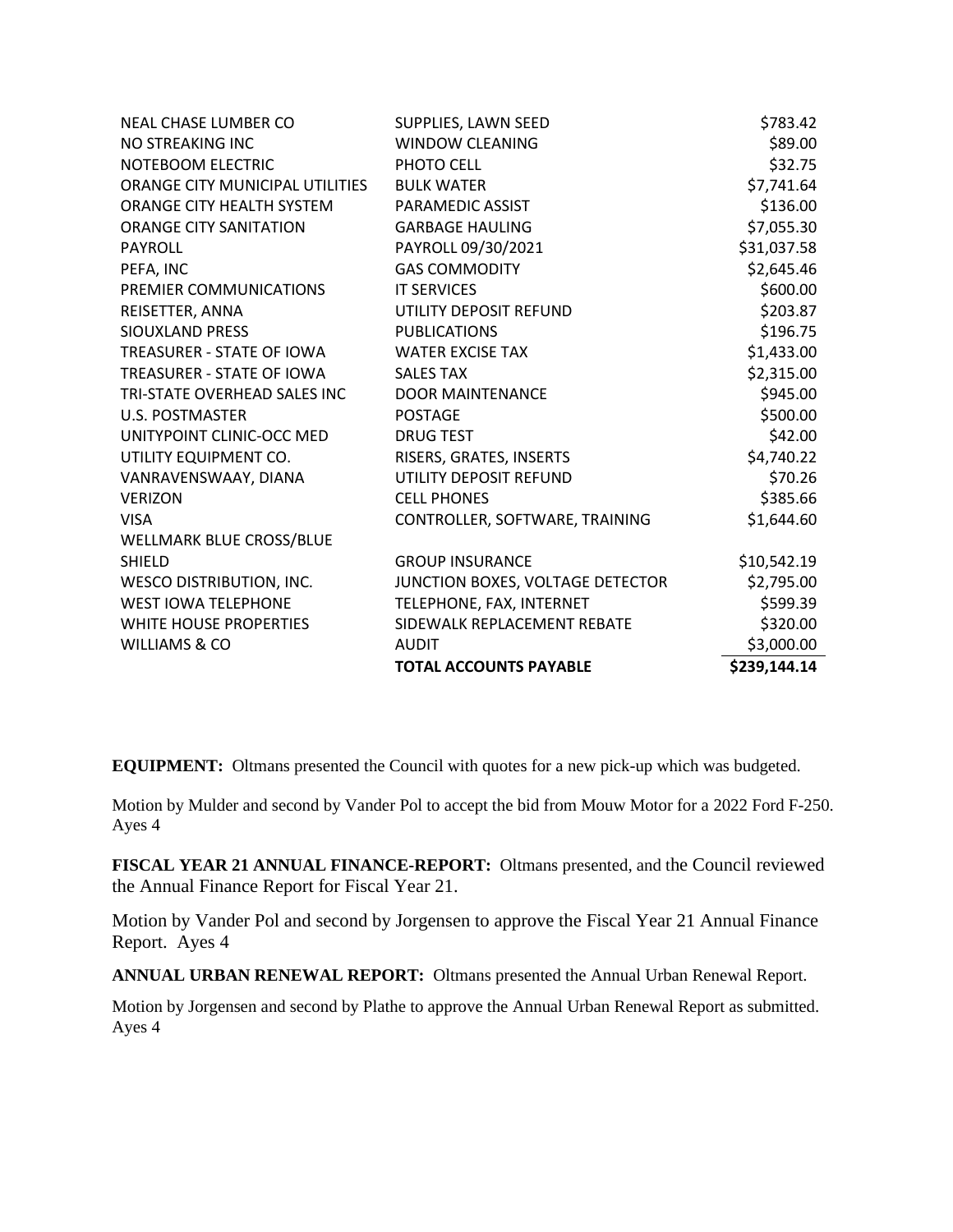| NEAL CHASE LUMBER CO            | SUPPLIES, LAWN SEED              | \$783.42               |
|---------------------------------|----------------------------------|------------------------|
| NO STREAKING INC                | <b>WINDOW CLEANING</b>           | \$89.00                |
| NOTEBOOM ELECTRIC               | PHOTO CELL                       | \$32.75                |
| ORANGE CITY MUNICIPAL UTILITIES | <b>BULK WATER</b>                | \$7,741.64             |
| ORANGE CITY HEALTH SYSTEM       | PARAMEDIC ASSIST                 | \$136.00               |
| <b>ORANGE CITY SANITATION</b>   | <b>GARBAGE HAULING</b>           | \$7,055.30             |
| PAYROLL                         | PAYROLL 09/30/2021               | \$31,037.58            |
| PEFA, INC                       | <b>GAS COMMODITY</b>             | \$2,645.46             |
| PREMIER COMMUNICATIONS          | <b>IT SERVICES</b>               | \$600.00               |
| REISETTER, ANNA                 | UTILITY DEPOSIT REFUND           | \$203.87               |
| SIOUXLAND PRESS                 | <b>PUBLICATIONS</b>              | \$196.75               |
| TREASURER - STATE OF IOWA       | <b>WATER EXCISE TAX</b>          | \$1,433.00             |
| TREASURER - STATE OF IOWA       | <b>SALES TAX</b>                 | \$2,315.00             |
| TRI-STATE OVERHEAD SALES INC    | <b>DOOR MAINTENANCE</b>          | \$945.00               |
| U.S. POSTMASTER                 | <b>POSTAGE</b>                   | \$500.00               |
| UNITYPOINT CLINIC-OCC MED       | <b>DRUG TEST</b>                 | \$42.00                |
| UTILITY EQUIPMENT CO.           | RISERS, GRATES, INSERTS          | \$4,740.22             |
| VANRAVENSWAAY, DIANA            | UTILITY DEPOSIT REFUND           | \$70.26                |
| <b>VERIZON</b>                  | <b>CELL PHONES</b>               | \$385.66               |
| <b>VISA</b>                     | CONTROLLER, SOFTWARE, TRAINING   | \$1,644.60             |
| WELLMARK BLUE CROSS/BLUE        |                                  |                        |
| <b>SHIELD</b>                   | <b>GROUP INSURANCE</b>           | \$10,542.19            |
| <b>WESCO DISTRIBUTION, INC.</b> | JUNCTION BOXES, VOLTAGE DETECTOR | \$2,795.00             |
| <b>WEST IOWA TELEPHONE</b>      | TELEPHONE, FAX, INTERNET         | \$599.39               |
| WHITE HOUSE PROPERTIES          | SIDEWALK REPLACEMENT REBATE      | \$320.00<br>\$3,000.00 |
| WILLIAMS & CO                   | <b>AUDIT</b>                     |                        |
|                                 | <b>TOTAL ACCOUNTS PAYABLE</b>    | \$239,144.14           |

**EQUIPMENT:** Oltmans presented the Council with quotes for a new pick-up which was budgeted.

Motion by Mulder and second by Vander Pol to accept the bid from Mouw Motor for a 2022 Ford F-250. Ayes 4

**FISCAL YEAR 21 ANNUAL FINANCE-REPORT:** Oltmans presented, and the Council reviewed the Annual Finance Report for Fiscal Year 21.

Motion by Vander Pol and second by Jorgensen to approve the Fiscal Year 21 Annual Finance Report. Ayes 4

**ANNUAL URBAN RENEWAL REPORT:** Oltmans presented the Annual Urban Renewal Report.

Motion by Jorgensen and second by Plathe to approve the Annual Urban Renewal Report as submitted. Ayes 4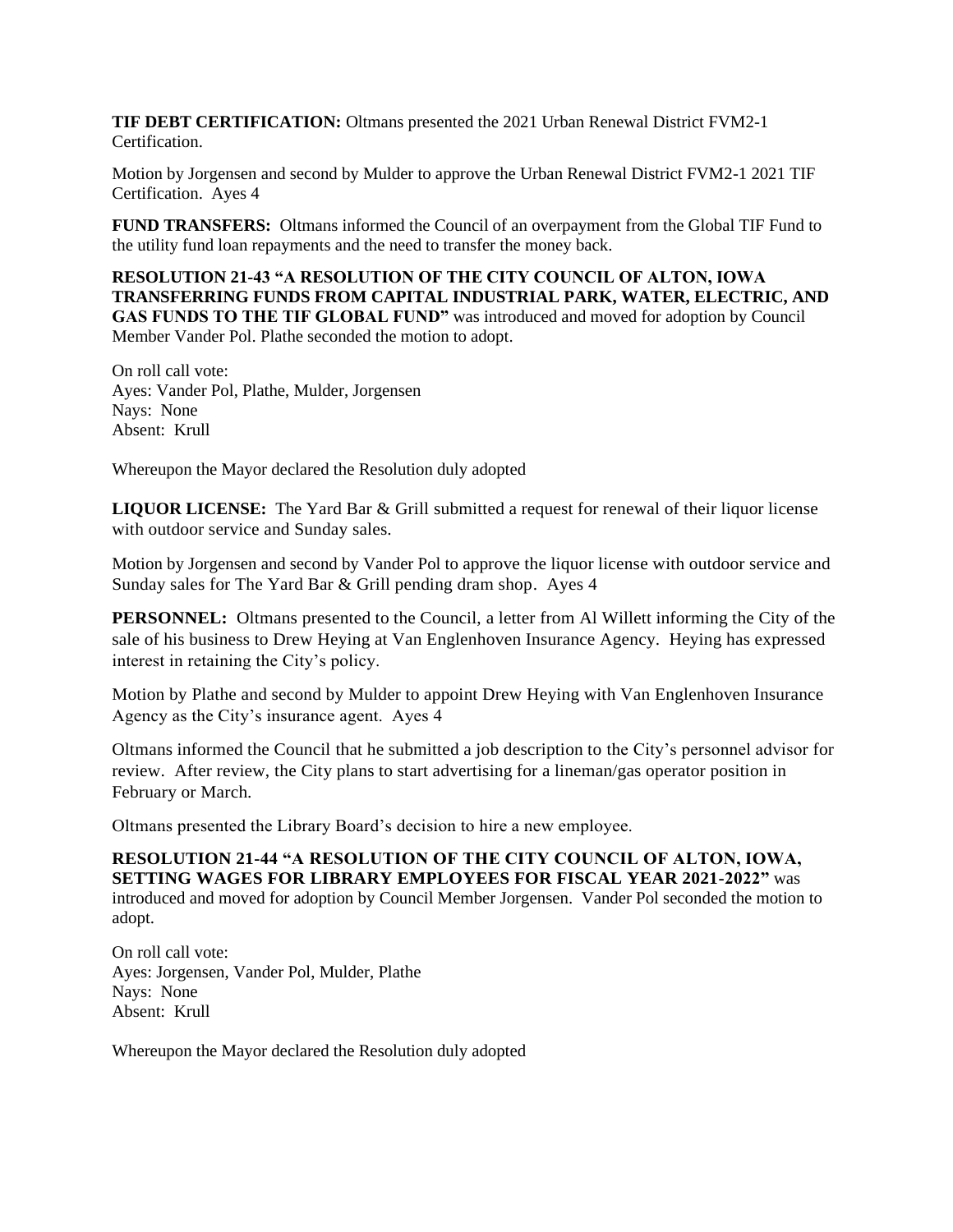**TIF DEBT CERTIFICATION:** Oltmans presented the 2021 Urban Renewal District FVM2-1 Certification.

Motion by Jorgensen and second by Mulder to approve the Urban Renewal District FVM2-1 2021 TIF Certification. Ayes 4

**FUND TRANSFERS:** Oltmans informed the Council of an overpayment from the Global TIF Fund to the utility fund loan repayments and the need to transfer the money back.

**RESOLUTION 21-43 "A RESOLUTION OF THE CITY COUNCIL OF ALTON, IOWA TRANSFERRING FUNDS FROM CAPITAL INDUSTRIAL PARK, WATER, ELECTRIC, AND GAS FUNDS TO THE TIF GLOBAL FUND"** was introduced and moved for adoption by Council Member Vander Pol. Plathe seconded the motion to adopt.

On roll call vote: Ayes: Vander Pol, Plathe, Mulder, Jorgensen Nays: None Absent: Krull

Whereupon the Mayor declared the Resolution duly adopted

**LIQUOR LICENSE:** The Yard Bar & Grill submitted a request for renewal of their liquor license with outdoor service and Sunday sales.

Motion by Jorgensen and second by Vander Pol to approve the liquor license with outdoor service and Sunday sales for The Yard Bar & Grill pending dram shop. Ayes 4

**PERSONNEL:** Oltmans presented to the Council, a letter from Al Willett informing the City of the sale of his business to Drew Heying at Van Englenhoven Insurance Agency. Heying has expressed interest in retaining the City's policy.

Motion by Plathe and second by Mulder to appoint Drew Heying with Van Englenhoven Insurance Agency as the City's insurance agent. Ayes 4

Oltmans informed the Council that he submitted a job description to the City's personnel advisor for review. After review, the City plans to start advertising for a lineman/gas operator position in February or March.

Oltmans presented the Library Board's decision to hire a new employee.

**RESOLUTION 21-44 "A RESOLUTION OF THE CITY COUNCIL OF ALTON, IOWA, SETTING WAGES FOR LIBRARY EMPLOYEES FOR FISCAL YEAR 2021-2022"** was introduced and moved for adoption by Council Member Jorgensen. Vander Pol seconded the motion to adopt.

On roll call vote: Ayes: Jorgensen, Vander Pol, Mulder, Plathe Nays: None Absent: Krull

Whereupon the Mayor declared the Resolution duly adopted